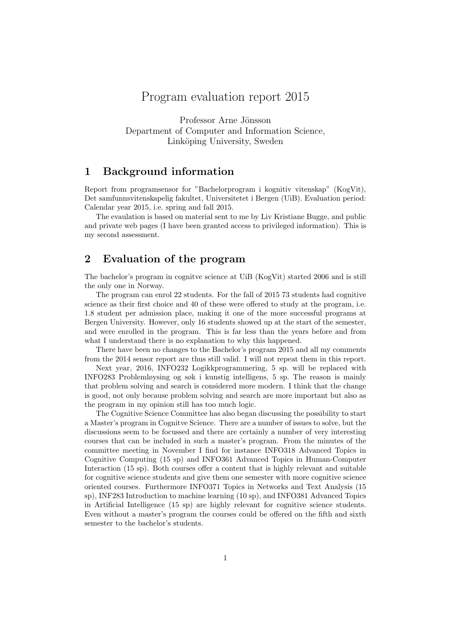# Program evaluation report 2015

Professor Arne Jönsson Department of Computer and Information Science, Linköping University, Sweden

## 1 Background information

Report from programsensor for "Bachelorprogram i kognitiv vitenskap" (KogVit), Det samfunnsvitenskapelig fakultet, Universitetet i Bergen (UiB). Evaluation period: Calendar year 2015, i.e. spring and fall 2015.

The evaulation is based on material sent to me by Liv Kristiane Bugge, and public and private web pages (I have been granted access to privileged information). This is my second assessment.

## 2 Evaluation of the program

The bachelor's program in cognitve science at UiB (KogVit) started 2006 and is still the only one in Norway.

The program can enrol 22 students. For the fall of 2015 73 students had cognitive science as their first choice and 40 of these were offered to study at the program, i.e. 1.8 student per admission place, making it one of the more successful programs at Bergen University. However, only 16 students showed up at the start of the semester, and were enrolled in the program. This is far less than the years before and from what I understand there is no explanation to why this happened.

There have been no changes to the Bachelor's program 2015 and all my comments from the 2014 sensor report are thus still valid. I will not repeat them in this report.

Next year, 2016, INFO232 Logikkprogrammering, 5 sp. will be replaced with INFO283 Problemløysing og søk i kunstig intelligens, 5 sp. The reason is mainly that problem solving and search is considered more modern. I think that the change is good, not only because problem solving and search are more important but also as the program in my opinion still has too much logic.

The Cognitive Science Committee has also began discussing the possibility to start a Master's program in Cognitve Science. There are a number of issues to solve, but the discussions seem to be focussed and there are certainly a number of very interesting courses that can be included in such a master's program. From the minutes of the committee meeting in November I find for instance INFO318 Advanced Topics in Cognitive Computing (15 sp) and INFO361 Advanced Topics in Human-Computer Interaction (15 sp). Both courses offer a content that is highly relevant and suitable for cognitive science students and give them one semester with more cognitive science oriented courses. Furthermore INFO371 Topics in Networks and Text Analysis (15 sp), INF283 Introduction to machine learning (10 sp), and INFO381 Advanced Topics in Artificial Intelligence (15 sp) are highly relevant for cognitive science students. Even without a master's program the courses could be offered on the fifth and sixth semester to the bachelor's students.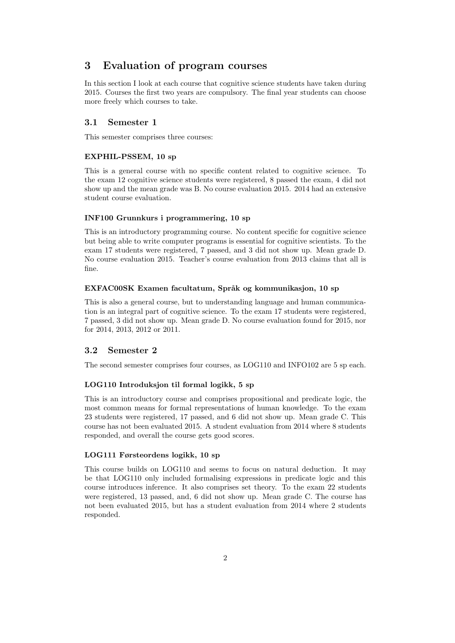## 3 Evaluation of program courses

In this section I look at each course that cognitive science students have taken during 2015. Courses the first two years are compulsory. The final year students can choose more freely which courses to take.

## 3.1 Semester 1

This semester comprises three courses:

#### EXPHIL-PSSEM, 10 sp

This is a general course with no specific content related to cognitive science. To the exam 12 cognitive science students were registered, 8 passed the exam, 4 did not show up and the mean grade was B. No course evaluation 2015. 2014 had an extensive student course evaluation.

#### INF100 Grunnkurs i programmering, 10 sp

This is an introductory programming course. No content specific for cognitive science but being able to write computer programs is essential for cognitive scientists. To the exam 17 students were registered, 7 passed, and 3 did not show up. Mean grade D. No course evaluation 2015. Teacher's course evaluation from 2013 claims that all is fine.

#### EXFAC00SK Examen facultatum, Språk og kommunikasjon, 10 sp

This is also a general course, but to understanding language and human communication is an integral part of cognitive science. To the exam 17 students were registered, 7 passed, 3 did not show up. Mean grade D. No course evaluation found for 2015, nor for 2014, 2013, 2012 or 2011.

## 3.2 Semester 2

The second semester comprises four courses, as LOG110 and INFO102 are 5 sp each.

#### LOG110 Introduksjon til formal logikk, 5 sp

This is an introductory course and comprises propositional and predicate logic, the most common means for formal representations of human knowledge. To the exam 23 students were registered, 17 passed, and 6 did not show up. Mean grade C. This course has not been evaluated 2015. A student evaluation from 2014 where 8 students responded, and overall the course gets good scores.

## LOG111 Førsteordens logikk, 10 sp

This course builds on LOG110 and seems to focus on natural deduction. It may be that LOG110 only included formalising expressions in predicate logic and this course introduces inference. It also comprises set theory. To the exam 22 students were registered, 13 passed, and, 6 did not show up. Mean grade C. The course has not been evaluated 2015, but has a student evaluation from 2014 where 2 students responded.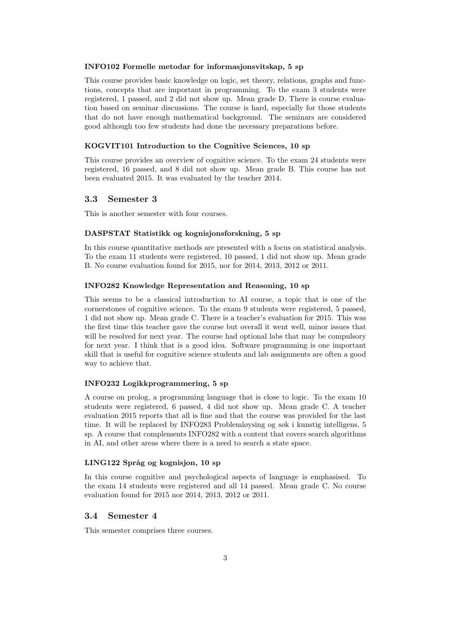#### INFO102 Formelle metodar for informasjonsvitskap, 5 sp

This course provides basic knowledge on logic, set theory, relations, graphs and functions, concepts that are important in programming. To the exam 3 students were registered, 1 passed, and 2 did not show up. Mean grade D. There is course evaluation based on seminar discussions. The course is hard, especially for those students that do not have enough mathematical background. The seminars are considered good although too few students had done the necessary preparations before.

### KOGVIT101 Introduction to the Cognitive Sciences, 10 sp

This course provides an overview of cognitive science. To the exam 24 students were registered, 16 passed, and 8 did not show up. Mean grade B. This course has not been evaluated 2015. It was evaluated by the teacher 2014.

### 3.3 Semester 3

This is another semester with four courses.

#### DASPSTAT Statistikk og kognisjonsforskning, 5 sp

In this course quantitative methods are presented with a focus on statistical analysis. To the exam 11 students were registered, 10 passed, 1 did not show up. Mean grade B. No course evaluation found for 2015, nor for 2014, 2013, 2012 or 2011.

#### INFO282 Knowledge Representation and Reasoning, 10 sp

This seems to be a classical introduction to AI course, a topic that is one of the cornerstones of cognitive science. To the exam 9 students were registered, 5 passed, 1 did not show up. Mean grade C. There is a teacher's evaluation for 2015. This was the first time this teacher gave the course but overall it went well, minor issues that will be resolved for next year. The course had optional labs that may be compulsory for next year. I think that is a good idea. Software programming is one important skill that is useful for cognitive science students and lab assignments are often a good way to achieve that.

#### INFO232 Logikkprogrammering, 5 sp

A course on prolog, a programming language that is close to logic. To the exam 10 students were registered, 6 passed, 4 did not show up. Mean grade C. A teacher evaluation 2015 reports that all is fine and that the course was provided for the last time. It will be replaced by INFO283 Problemløysing og søk i kunstig intelligens, 5 sp. A course that complements INFO282 with a content that covers search algorithms in AI, and other areas where there is a need to search a state space.

## LING122 Språg og kognisjon, 10 sp

In this course cognitive and psychological aspects of language is emphasised. To the exam 14 students were registered and all 14 passed. Mean grade C. No course evaluation found for 2015 nor 2014, 2013, 2012 or 2011.

## 3.4 Semester 4

This semester comprises three courses.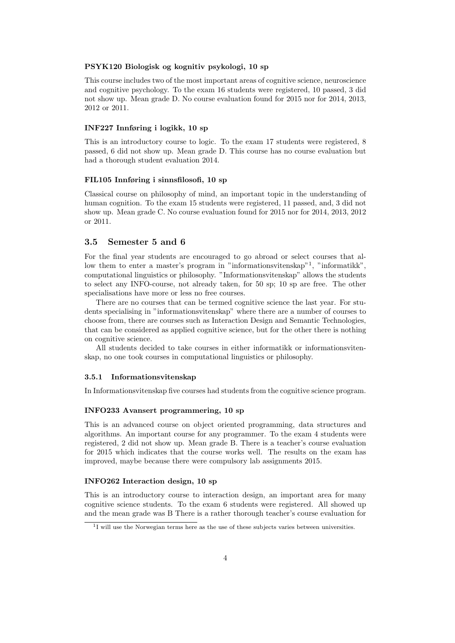#### PSYK120 Biologisk og kognitiv psykologi, 10 sp

This course includes two of the most important areas of cognitive science, neuroscience and cognitive psychology. To the exam 16 students were registered, 10 passed, 3 did not show up. Mean grade D. No course evaluation found for 2015 nor for 2014, 2013, 2012 or 2011.

#### INF227 Innføring i logikk, 10 sp

This is an introductory course to logic. To the exam 17 students were registered, 8 passed, 6 did not show up. Mean grade D. This course has no course evaluation but had a thorough student evaluation 2014.

### FIL105 Innføring i sinnsfilosofi, 10 sp

Classical course on philosophy of mind, an important topic in the understanding of human cognition. To the exam 15 students were registered, 11 passed, and, 3 did not show up. Mean grade C. No course evaluation found for 2015 nor for 2014, 2013, 2012 or 2011.

### 3.5 Semester 5 and 6

For the final year students are encouraged to go abroad or select courses that allow them to enter a master's program in "informationsvitenskap"<sup>1</sup>, "informatikk", computational linguistics or philosophy. "Informationsvitenskap" allows the students to select any INFO-course, not already taken, for 50 sp; 10 sp are free. The other specialisations have more or less no free courses.

There are no courses that can be termed cognitive science the last year. For students specialising in "informationsvitenskap" where there are a number of courses to choose from, there are courses such as Interaction Design and Semantic Technologies, that can be considered as applied cognitive science, but for the other there is nothing on cognitive science.

All students decided to take courses in either informatikk or informationsvitenskap, no one took courses in computational linguistics or philosophy.

#### 3.5.1 Informationsvitenskap

In Informationsvitenskap five courses had students from the cognitive science program.

#### INFO233 Avansert programmering, 10 sp

This is an advanced course on object oriented programming, data structures and algorithms. An important course for any programmer. To the exam 4 students were registered, 2 did not show up. Mean grade B. There is a teacher's course evaluation for 2015 which indicates that the course works well. The results on the exam has improved, maybe because there were compulsory lab assignments 2015.

#### INFO262 Interaction design, 10 sp

This is an introductory course to interaction design, an important area for many cognitive science students. To the exam 6 students were registered. All showed up and the mean grade was B There is a rather thorough teacher's course evaluation for

<sup>&</sup>lt;sup>1</sup>I will use the Norwegian terms here as the use of these subjects varies between universities.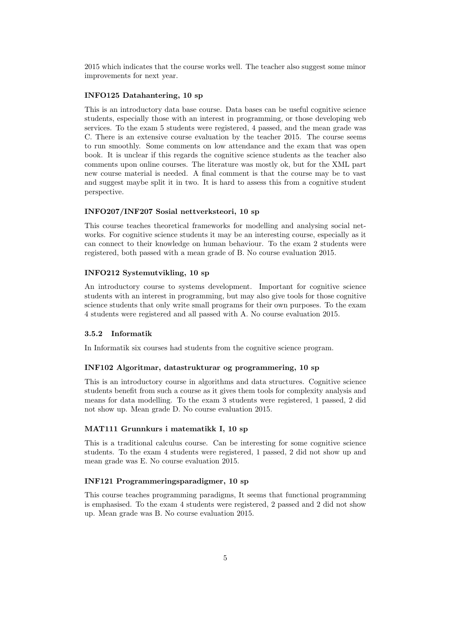2015 which indicates that the course works well. The teacher also suggest some minor improvements for next year.

## INFO125 Datahantering, 10 sp

This is an introductory data base course. Data bases can be useful cognitive science students, especially those with an interest in programming, or those developing web services. To the exam 5 students were registered, 4 passed, and the mean grade was C. There is an extensive course evaluation by the teacher 2015. The course seems to run smoothly. Some comments on low attendance and the exam that was open book. It is unclear if this regards the cognitive science students as the teacher also comments upon online courses. The literature was mostly ok, but for the XML part new course material is needed. A final comment is that the course may be to vast and suggest maybe split it in two. It is hard to assess this from a cognitive student perspective.

#### INFO207/INF207 Sosial nettverksteori, 10 sp

This course teaches theoretical frameworks for modelling and analysing social networks. For cognitive science students it may be an interesting course, especially as it can connect to their knowledge on human behaviour. To the exam 2 students were registered, both passed with a mean grade of B. No course evaluation 2015.

#### INFO212 Systemutvikling, 10 sp

An introductory course to systems development. Important for cognitive science students with an interest in programming, but may also give tools for those cognitive science students that only write small programs for their own purposes. To the exam 4 students were registered and all passed with A. No course evaluation 2015.

#### 3.5.2 Informatik

In Informatik six courses had students from the cognitive science program.

#### INF102 Algoritmar, datastrukturar og programmering, 10 sp

This is an introductory course in algorithms and data structures. Cognitive science students benefit from such a course as it gives them tools for complexity analysis and means for data modelling. To the exam 3 students were registered, 1 passed, 2 did not show up. Mean grade D. No course evaluation 2015.

## MAT111 Grunnkurs i matematikk I, 10 sp

This is a traditional calculus course. Can be interesting for some cognitive science students. To the exam 4 students were registered, 1 passed, 2 did not show up and mean grade was E. No course evaluation 2015.

#### INF121 Programmeringsparadigmer, 10 sp

This course teaches programming paradigms, It seems that functional programming is emphasised. To the exam 4 students were registered, 2 passed and 2 did not show up. Mean grade was B. No course evaluation 2015.